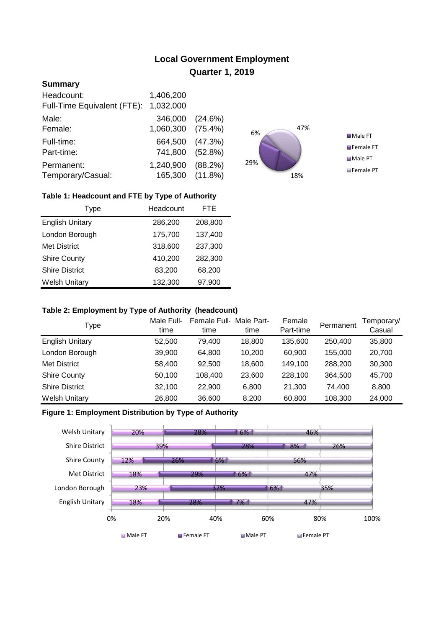# **Local Government Employment Quarter 1, 2019**

# **Summary**

| Headcount:<br>Full-Time Equivalent (FTE): | 1,406,200<br>1,032,000       |            |
|-------------------------------------------|------------------------------|------------|
| Male:                                     | 346,000                      | (24.6%)    |
| Female:                                   | 1,060,300                    | $(75.4\%)$ |
| Full-time:                                | 664,500                      | (47.3%)    |
| Part-time:                                | 741,800                      | (52.8%)    |
| Permanent:<br>Temporary/Casual:           | 1,240,900<br>165,300 (11.8%) | (88.2%)    |



## **Table 1: Headcount and FTE by Type of Authority**

| Type                   | Headcount | FTE     |
|------------------------|-----------|---------|
| <b>English Unitary</b> | 286,200   | 208,800 |
| London Borough         | 175,700   | 137,400 |
| <b>Met District</b>    | 318,600   | 237,300 |
| <b>Shire County</b>    | 410,200   | 282,300 |
| <b>Shire District</b>  | 83,200    | 68,200  |
| <b>Welsh Unitary</b>   | 132,300   | 97,900  |

### **Table 2: Employment by Type of Authority (headcount)**

| Type                   | Male Full-<br>time | Female Full-<br>time | Male Part-<br>time | Female<br>Part-time | Permanent | Femporary/<br>Casual |
|------------------------|--------------------|----------------------|--------------------|---------------------|-----------|----------------------|
| <b>English Unitary</b> | 52,500             | 79.400               | 18,800             | 135,600             | 250,400   | 35,800               |
| London Borough         | 39,900             | 64.800               | 10.200             | 60.900              | 155.000   | 20,700               |
| Met District           | 58,400             | 92,500               | 18,600             | 149.100             | 288,200   | 30,300               |
| <b>Shire County</b>    | 50,100             | 108.400              | 23,600             | 228.100             | 364.500   | 45,700               |
| <b>Shire District</b>  | 32,100             | 22,900               | 6,800              | 21,300              | 74.400    | 8,800                |
| <b>Welsh Unitary</b>   | 26,800             | 36,600               | 8,200              | 60,800              | 108,300   | 24,000               |

## **Figure 1: Employment Distribution by Type of Authority**